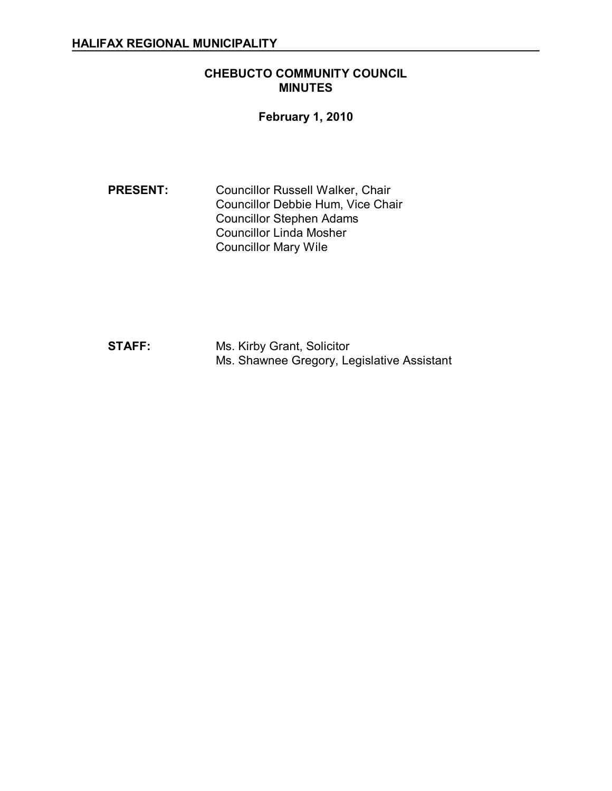### **CHEBUCTO COMMUNITY COUNCIL MINUTES**

# **February 1, 2010**

**PRESENT:** Councillor Russell Walker, Chair Councillor Debbie Hum, Vice Chair Councillor Stephen Adams Councillor Linda Mosher Councillor Mary Wile

**STAFF:** Ms. Kirby Grant, Solicitor Ms. Shawnee Gregory, Legislative Assistant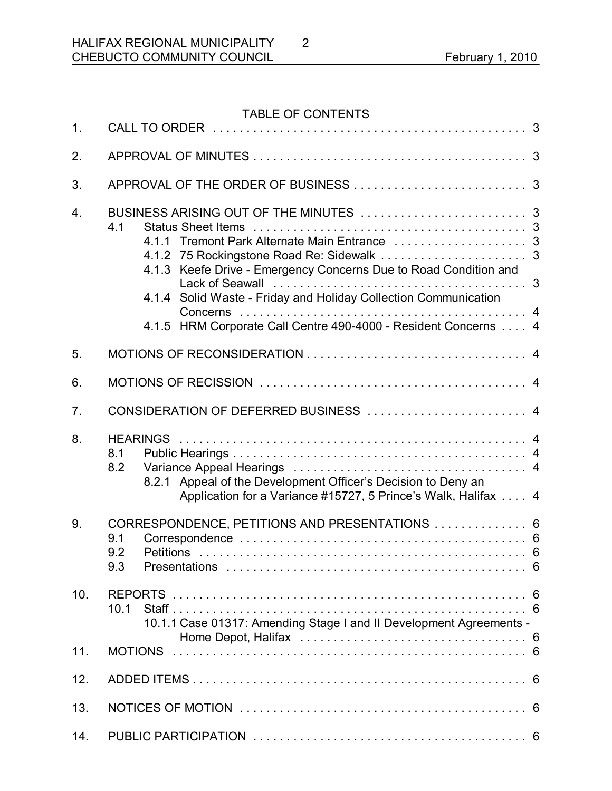# TABLE OF CONTENTS

| 1.               |                                                                                                                                                                                                               |  |
|------------------|---------------------------------------------------------------------------------------------------------------------------------------------------------------------------------------------------------------|--|
| 2.               |                                                                                                                                                                                                               |  |
| 3.               |                                                                                                                                                                                                               |  |
| $\overline{4}$ . | 4.1<br>4.1.3 Keefe Drive - Emergency Concerns Due to Road Condition and<br>4.1.4 Solid Waste - Friday and Holiday Collection Communication<br>4.1.5 HRM Corporate Call Centre 490-4000 - Resident Concerns  4 |  |
| 5.               |                                                                                                                                                                                                               |  |
| 6.               |                                                                                                                                                                                                               |  |
| 7.               |                                                                                                                                                                                                               |  |
| 8.               | 8.1<br>8.2<br>Appeal of the Development Officer's Decision to Deny an<br>8.2.1<br>Application for a Variance #15727, 5 Prince's Walk, Halifax 4                                                               |  |
| 9.               | CORRESPONDENCE, PETITIONS AND PRESENTATIONS  6<br>9.1<br>9.2<br>9.3                                                                                                                                           |  |
| 10.              | <b>REPORTS</b><br>10.1<br>10.1.1 Case 01317: Amending Stage I and II Development Agreements -                                                                                                                 |  |
| 11.              | <b>MOTIONS</b>                                                                                                                                                                                                |  |
| 12.              | -6                                                                                                                                                                                                            |  |
| 13.              |                                                                                                                                                                                                               |  |
| 14.              |                                                                                                                                                                                                               |  |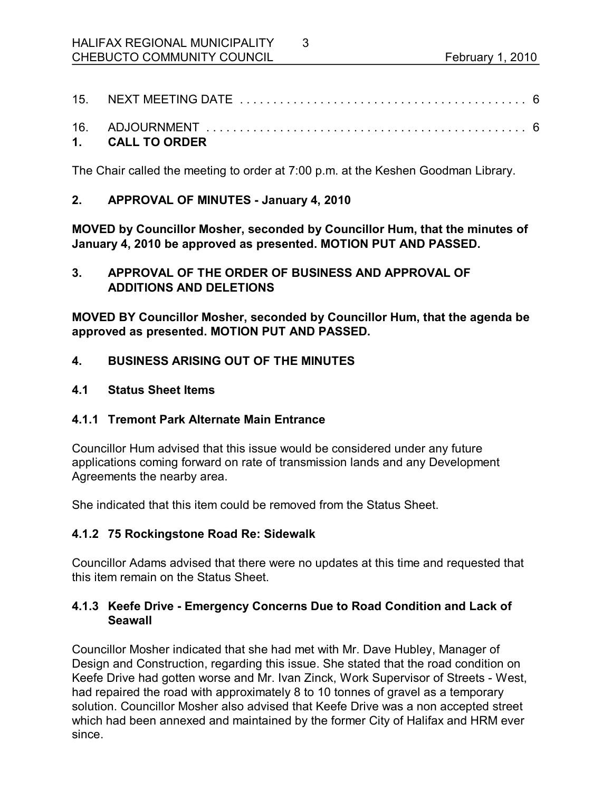3

#### **1. CALL TO ORDER**

The Chair called the meeting to order at 7:00 p.m. at the Keshen Goodman Library.

#### **2. APPROVAL OF MINUTES January 4, 2010**

**MOVED by Councillor Mosher, seconded by Councillor Hum, that the minutes of January 4, 2010 be approved as presented. MOTION PUT AND PASSED.** 

## **3. APPROVAL OF THE ORDER OF BUSINESS AND APPROVAL OF ADDITIONS AND DELETIONS**

**MOVED BY Councillor Mosher, seconded by Councillor Hum, that the agenda be approved as presented. MOTION PUT AND PASSED.** 

### **4. BUSINESS ARISING OUT OF THE MINUTES**

**4.1 Status Sheet Items** 

## **4.1.1 Tremont Park Alternate Main Entrance**

Councillor Hum advised that this issue would be considered under any future applications coming forward on rate of transmission lands and any Development Agreements the nearby area.

She indicated that this item could be removed from the Status Sheet.

#### **4.1.2 75 Rockingstone Road Re: Sidewalk**

Councillor Adams advised that there were no updates at this time and requested that this item remain on the Status Sheet.

### **4.1.3 Keefe Drive Emergency Concerns Due to Road Condition and Lack of Seawall**

Councillor Mosher indicated that she had met with Mr. Dave Hubley, Manager of Design and Construction, regarding this issue. She stated that the road condition on Keefe Drive had gotten worse and Mr. Ivan Zinck, Work Supervisor of Streets - West, had repaired the road with approximately 8 to 10 tonnes of gravel as a temporary solution. Councillor Mosher also advised that Keefe Drive was a non accepted street which had been annexed and maintained by the former City of Halifax and HRM ever since.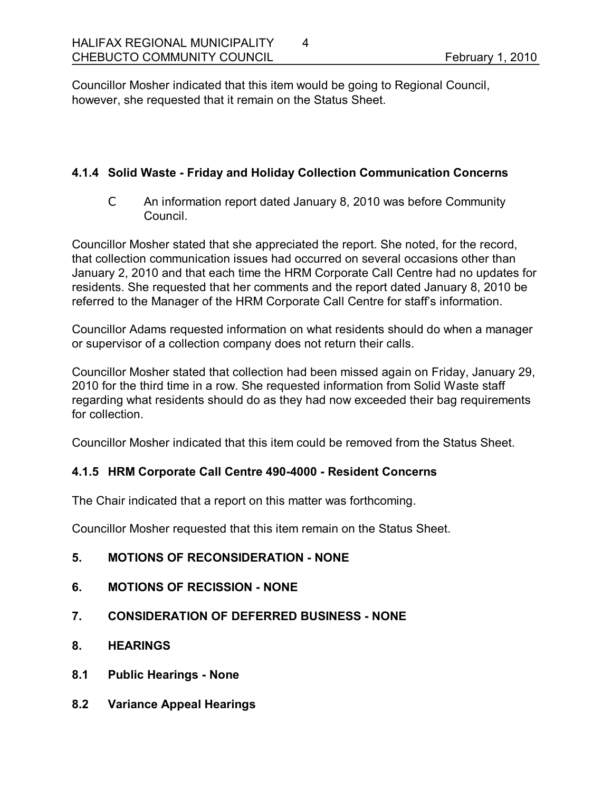Councillor Mosher indicated that this item would be going to Regional Council, however, she requested that it remain on the Status Sheet.

4

#### **4.1.4 Solid Waste Friday and Holiday Collection Communication Concerns**

C An information report dated January 8, 2010 was before Community Council.

Councillor Mosher stated that she appreciated the report. She noted, for the record, that collection communication issues had occurred on several occasions other than January 2, 2010 and that each time the HRM Corporate Call Centre had no updates for residents. She requested that her comments and the report dated January 8, 2010 be referred to the Manager of the HRM Corporate Call Centre for staff's information.

Councillor Adams requested information on what residents should do when a manager or supervisor of a collection company does not return their calls.

Councillor Mosher stated that collection had been missed again on Friday, January 29, 2010 for the third time in a row. She requested information from Solid Waste staff regarding what residents should do as they had now exceeded their bag requirements for collection.

Councillor Mosher indicated that this item could be removed from the Status Sheet.

## **4.1.5 HRM Corporate Call Centre 4904000 Resident Concerns**

The Chair indicated that a report on this matter was forthcoming.

Councillor Mosher requested that this item remain on the Status Sheet.

- **5. MOTIONS OF RECONSIDERATION NONE**
- **6. MOTIONS OF RECISSION NONE**
- **7. CONSIDERATION OF DEFERRED BUSINESS NONE**
- **8. HEARINGS**
- **8.1 Public Hearings None**
- **8.2 Variance Appeal Hearings**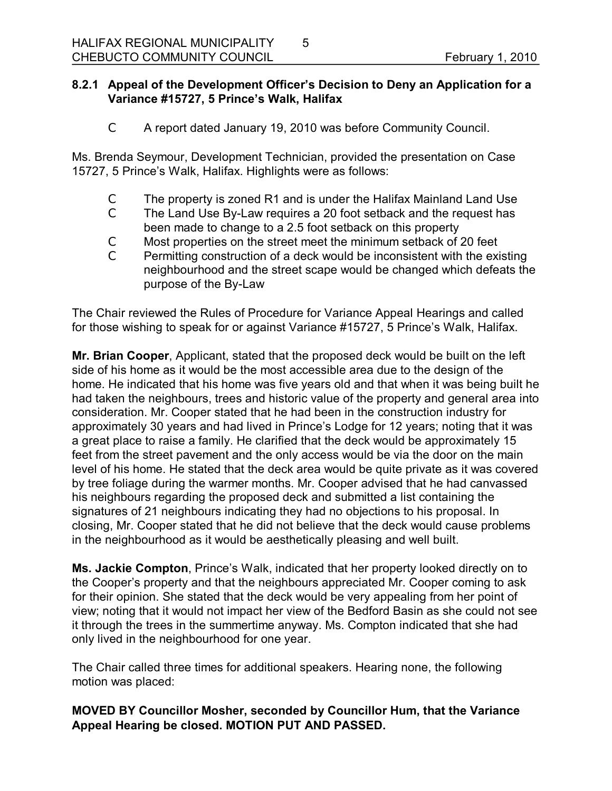### **8.2.1 Appeal of the Development Officer's Decision to Deny an Application for a Variance #15727, 5 Prince's Walk, Halifax**

5

C A report dated January 19, 2010 was before Community Council.

Ms. Brenda Seymour, Development Technician, provided the presentation on Case 15727, 5 Prince's Walk, Halifax. Highlights were as follows:

- C The property is zoned R1 and is under the Halifax Mainland Land Use
- C The Land Use By-Law requires a 20 foot setback and the request has been made to change to a 2.5 foot setback on this property
- C Most properties on the street meet the minimum setback of 20 feet
- C Permitting construction of a deck would be inconsistent with the existing neighbourhood and the street scape would be changed which defeats the purpose of the By-Law

The Chair reviewed the Rules of Procedure for Variance Appeal Hearings and called for those wishing to speak for or against Variance #15727, 5 Prince's Walk, Halifax.

**Mr. Brian Cooper**, Applicant, stated that the proposed deck would be built on the left side of his home as it would be the most accessible area due to the design of the home. He indicated that his home was five years old and that when it was being built he had taken the neighbours, trees and historic value of the property and general area into consideration. Mr. Cooper stated that he had been in the construction industry for approximately 30 years and had lived in Prince's Lodge for 12 years; noting that it was a great place to raise a family. He clarified that the deck would be approximately 15 feet from the street pavement and the only access would be via the door on the main level of his home. He stated that the deck area would be quite private as it was covered by tree foliage during the warmer months. Mr. Cooper advised that he had canvassed his neighbours regarding the proposed deck and submitted a list containing the signatures of 21 neighbours indicating they had no objections to his proposal. In closing, Mr. Cooper stated that he did not believe that the deck would cause problems in the neighbourhood as it would be aesthetically pleasing and well built.

**Ms. Jackie Compton**, Prince's Walk, indicated that her property looked directly on to the Cooper's property and that the neighbours appreciated Mr. Cooper coming to ask for their opinion. She stated that the deck would be very appealing from her point of view; noting that it would not impact her view of the Bedford Basin as she could not see it through the trees in the summertime anyway. Ms. Compton indicated that she had only lived in the neighbourhood for one year.

The Chair called three times for additional speakers. Hearing none, the following motion was placed:

**MOVED BY Councillor Mosher, seconded by Councillor Hum, that the Variance Appeal Hearing be closed. MOTION PUT AND PASSED.**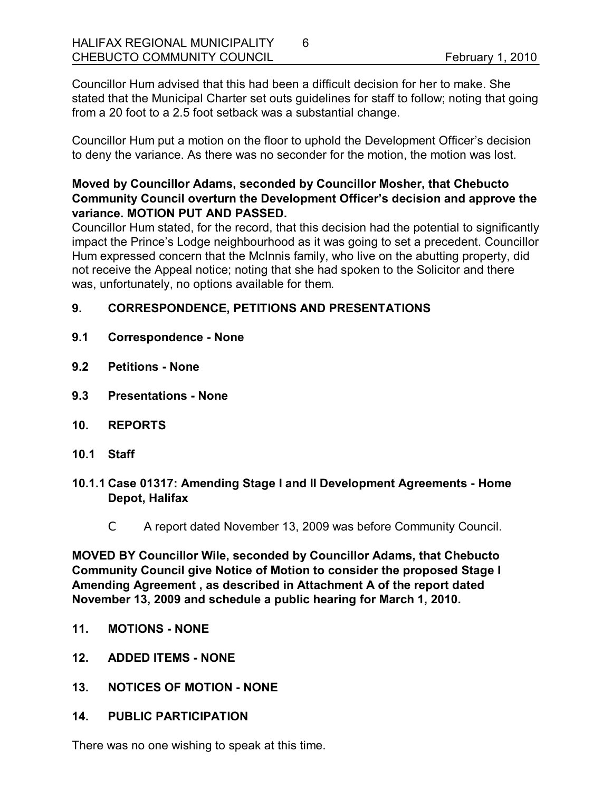Councillor Hum advised that this had been a difficult decision for her to make. She stated that the Municipal Charter set outs guidelines for staff to follow; noting that going from a 20 foot to a 2.5 foot setback was a substantial change.

6

Councillor Hum put a motion on the floor to uphold the Development Officer's decision to deny the variance. As there was no seconder for the motion, the motion was lost.

## **Moved by Councillor Adams, seconded by Councillor Mosher, that Chebucto Community Council overturn the Development Officer's decision and approve the variance. MOTION PUT AND PASSED.**

Councillor Hum stated, for the record, that this decision had the potential to significantly impact the Prince's Lodge neighbourhood as it was going to set a precedent. Councillor Hum expressed concern that the McInnis family, who live on the abutting property, did not receive the Appeal notice; noting that she had spoken to the Solicitor and there was, unfortunately, no options available for them*.*

# **9. CORRESPONDENCE, PETITIONS AND PRESENTATIONS**

- **9.1 Correspondence None**
- **9.2 Petitions None**
- **9.3 Presentations None**
- **10. REPORTS**
- **10.1 Staff**
- **10.1.1 Case 01317: Amending Stage I and II Development Agreements Home Depot, Halifax**
	- C A report dated November 13, 2009 was before Community Council.

**MOVED BY Councillor Wile, seconded by Councillor Adams, that Chebucto Community Council give Notice of Motion to consider the proposed Stage I Amending Agreement , as described in Attachment A of the report dated November 13, 2009 and schedule a public hearing for March 1, 2010.** 

- **11. MOTIONS NONE**
- **12. ADDED ITEMS NONE**
- 13. NOTICES OF MOTION NONE
- **14. PUBLIC PARTICIPATION**

There was no one wishing to speak at this time.